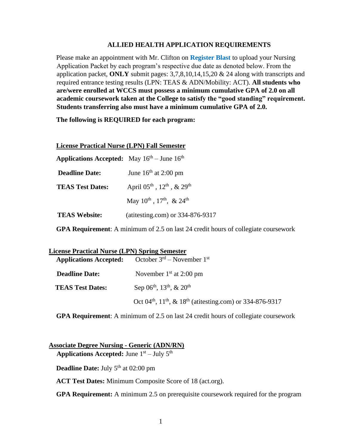## **ALLIED HEALTH APPLICATION REQUIREMENTS**

Please make an appointment with Mr. Clifton on **Register Blast** to upload your Nursing Application Packet by each program's respective due date as denoted below. From the application packet, **ONLY** submit pages: 3,7,8,10,14,15,20 & 24 along with transcripts and required entrance testing results (LPN: TEAS & ADN/Mobility: ACT). **All students who are/were enrolled at WCCS must possess a minimum cumulative GPA of 2.0 on all academic coursework taken at the College to satisfy the "good standing" requirement. Students transferring also must have a minimum cumulative GPA of 2.0.** 

**The following is REQUIRED for each program:** 

### **License Practical Nurse (LPN) Fall Semester**

| <b>Applications Accepted:</b> May $16^{th}$ – June $16^{th}$ |                                           |
|--------------------------------------------------------------|-------------------------------------------|
| <b>Deadline Date:</b>                                        | June $16th$ at 2:00 pm                    |
| <b>TEAS Test Dates:</b>                                      | April $05^{th}$ , $12^{th}$ , & $29^{th}$ |
|                                                              | May $10^{th}$ , $17^{th}$ , & $24^{th}$   |
| <b>TEAS Website:</b>                                         | (atitesting.com) or 334-876-9317          |

**GPA Requirement**: A minimum of 2.5 on last 24 credit hours of collegiate coursework

| <b>License Practical Nurse (LPN) Spring Semester</b> |                                                                                               |
|------------------------------------------------------|-----------------------------------------------------------------------------------------------|
| <b>Applications Accepted:</b>                        | October $3rd$ – November $1st$                                                                |
| <b>Deadline Date:</b>                                | November $1st$ at 2:00 pm                                                                     |
| <b>TEAS Test Dates:</b>                              | Sep $06^{th}$ , $13^{th}$ , & $20^{th}$                                                       |
|                                                      | Oct 04 <sup>th</sup> , 11 <sup>th</sup> , & 18 <sup>th</sup> (atitesting.com) or 334-876-9317 |

**GPA Requirement**: A minimum of 2.5 on last 24 credit hours of collegiate coursework

**Associate Degree Nursing - Generic (ADN/RN)** Applications Accepted: June 1<sup>st</sup> – July 5<sup>th</sup>

**Deadline Date:** July 5<sup>th</sup> at 02:00 pm

**ACT Test Dates:** Minimum Composite Score of 18 (act.org).

**GPA Requirement:** A minimum 2.5 on prerequisite coursework required for the program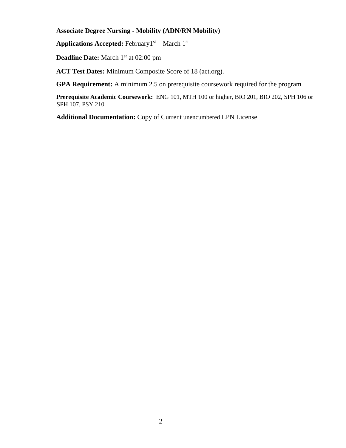# **Associate Degree Nursing - Mobility (ADN/RN Mobility)**

Applications Accepted: February<sup>1st</sup> – March 1<sup>st</sup>

**Deadline Date:** March 1<sup>st</sup> at 02:00 pm

**ACT Test Dates:** Minimum Composite Score of 18 (act.org).

**GPA Requirement:** A minimum 2.5 on prerequisite coursework required for the program

**Prerequisite Academic Coursework:** ENG 101, MTH 100 or higher, BIO 201, BIO 202, SPH 106 or SPH 107, PSY 210

**Additional Documentation:** Copy of Current unencumbered LPN License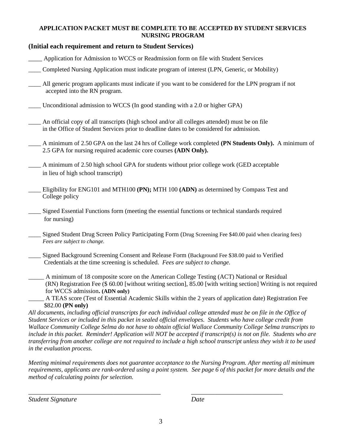## **APPLICATION PACKET MUST BE COMPLETE TO BE ACCEPTED BY STUDENT SERVICES NURSING PROGRAM**

## **(Initial each requirement and return to Student Services)**

- \_\_\_\_ Application for Admission to WCCS or Readmission form on file with Student Services
- \_\_\_\_ Completed Nursing Application must indicate program of interest (LPN, Generic, or Mobility)
- \_\_\_\_ All generic program applicants must indicate if you want to be considered for the LPN program if not accepted into the RN program.
- \_\_\_\_ Unconditional admission to WCCS (In good standing with a 2.0 or higher GPA)
- An official copy of all transcripts (high school and/or all colleges attended) must be on file in the Office of Student Services prior to deadline dates to be considered for admission.
- \_\_\_\_ A minimum of 2.50 GPA on the last 24 hrs of College work completed **(PN Students Only).** A minimum of 2.5 GPA for nursing required academic core courses **(ADN Only).**
- \_\_\_\_ A minimum of 2.50 high school GPA for students without prior college work (GED acceptable in lieu of high school transcript)
- \_\_\_\_ Eligibility for ENG101 and MTH100 **(PN);** MTH 100 **(ADN)** as determined by Compass Test and College policy
- \_\_\_\_ Signed Essential Functions form (meeting the essential functions or technical standards required for nursing)
- Signed Student Drug Screen Policy Participating Form (Drug Screening Fee \$40.00 paid when clearing fees) *Fees are subject to change.*
- Signed Background Screening Consent and Release Form (Background Fee \$38.00 paid to Verified Credentials at the time screening is scheduled. *Fees are subject to change.*
- \_\_\_\_\_ A minimum of 18 composite score on the American College Testing (ACT) National or Residual (RN) Registration Fee (\$ 60.00 [without writing section], 85.00 [with writing section] Writing is not required for WCCS admission**. (ADN only)**
- A TEAS score (Test of Essential Academic Skills within the 2 years of application date) Registration Fee \$82.00 **(PN only)**

*All documents, including official transcripts for each individual college attended must be on file in the Office of Student Services or included in this packet in sealed official envelopes. Students who have college credit from Wallace Community College Selma do not have to obtain official Wallace Community College Selma transcripts to include in this packet. Reminder! Application will NOT be accepted if transcript(s) is not on file. Students who are transferring from another college are not required to include a high school transcript unless they wish it to be used in the evaluation process.* 

*Meeting minimal requirements does not guarantee acceptance to the Nursing Program. After meeting all minimum requirements, applicants are rank-ordered using a point system. See page 6 of this packet for more details and the method of calculating points for selection.*

*Student Signature Date*

*\_\_\_\_\_\_\_\_\_\_\_\_\_\_\_\_\_\_\_\_\_\_\_\_\_\_\_\_\_\_\_\_\_\_\_\_\_\_\_ \_\_\_\_\_\_\_\_\_\_\_\_\_\_\_\_\_\_\_\_\_\_\_\_\_\_\_*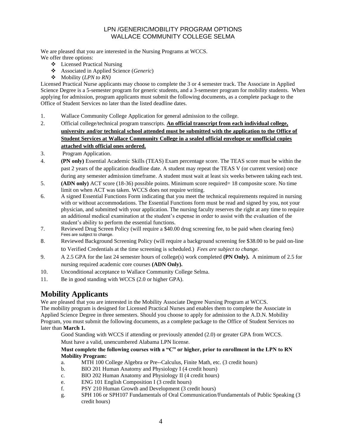## LPN /GENERIC/MOBILITY PROGRAM OPTIONS WALLACE COMMUNITY COLLEGE SELMA

We are pleased that you are interested in the Nursing Programs at WCCS.

- We offer three options:
	- ❖ Licensed Practical Nursing
	- ❖ Associated in Applied Science (*Generic*)
	- ❖ Mobility (*LPN to RN)*

Licensed Practical Nurse applicants may choose to complete the 3 or 4 semester track. The Associate in Applied Science Degree is a 5-semester program for generic students, and a 3-semester program for mobility students. When applying for admission, program applicants must submit the following documents, as a complete package to the Office of Student Services no later than the listed deadline dates.

- 1. Wallace Community College Application for general admission to the college.
- 2. Official college/technical program transcripts. **An official transcript from each individual college, university and/or technical school attended must be submitted with the application to the Office of Student Services at Wallace Community College in a sealed official envelope or unofficial copies attached with official ones ordered.**
- 3. Program Application.
- 4. **(PN only)** Essential Academic Skills (TEAS) Exam percentage score. The TEAS score must be within the past 2 years of the application deadline date. A student may repeat the TEAS V (or current version) once during any semester admission timeframe. A student must wait at least six weeks between taking each test.
- 5. **(ADN only)** ACT score (18-36) possible points. Minimum score required= 18 composite score. No time limit on when ACT was taken. WCCS does not require writing.
- 6. A signed Essential Functions Form indicating that you meet the technical requirements required in nursing with or without accommodations. The Essential Functions form must be read and signed by you, not your physician, and submitted with your application. The nursing faculty reserves the right at any time to require an additional medical examination at the student's expense in order to assist with the evaluation of the student's ability to perform the essential functions.
- 7. Reviewed Drug Screen Policy (will require a \$40.00 drug screening fee, to be paid when clearing fees) Fees are subject to change.
- 8. Reviewed Background Screening Policy (will require a background screening fee \$38.00 to be paid on-line to Verified Credentials at the time screening is scheduled.) *Fees are subject to change.*
- 9. A 2.5 GPA for the last 24 semester hours of college(s) work completed **(PN Only).** A minimum of 2.5 for nursing required academic core courses **(ADN Only).**
- 10. Unconditional acceptance to Wallace Community College Selma.
- 11. Be in good standing with WCCS (2.0 or higher GPA).

# **Mobility Applicants**

We are pleased that you are interested in the Mobility Associate Degree Nursing Program at WCCS. The mobility program is designed for Licensed Practical Nurses and enables them to complete the Associate in Applied Science Degree in three semesters. Should you choose to apply for admission to the A.D.N. Mobility Program, you must submit the following documents, as a complete package to the Office of Student Services no later than **March 1.**

Good Standing with WCCS if attending or previously attended (2.0) or greater GPA from WCCS.

Must have a valid, unencumbered Alabama LPN license.

### **Must complete the following courses with a "C" or higher, prior to enrollment in the LPN to RN Mobility Program:**

- a. MTH 100 College Algebra or Pre--Calculus, Finite Math, etc. (3 credit hours)
- b. BIO 201 Human Anatomy and Physiology I (4 credit hours)
- c. BIO 202 Human Anatomy and Physiology II (4 credit hours)
- e. ENG 101 English Composition I (3 credit hours)
- f. PSY 210 Human Growth and Development (3 credit hours)
- g. SPH 106 or SPH107 Fundamentals of Oral Communication/Fundamentals of Public Speaking (3 credit hours)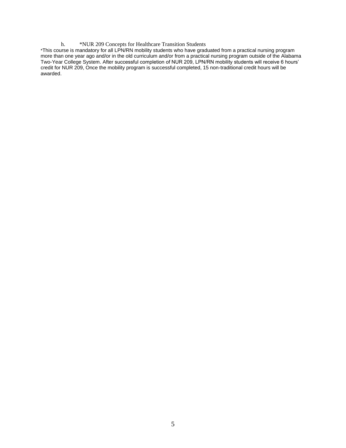#### h. \*NUR 209 Concepts for Healthcare Transition Students

\*This course is mandatory for all LPN/RN mobility students who have graduated from a practical nursing program more than one year ago and/or in the old curriculum and/or from a practical nursing program outside of the Alabama Two-Year College System. After successful completion of NUR 209, LPN/RN mobility students will receive 6 hours' credit for NUR 209, Once the mobility program is successful completed, 15 non-traditional credit hours will be awarded.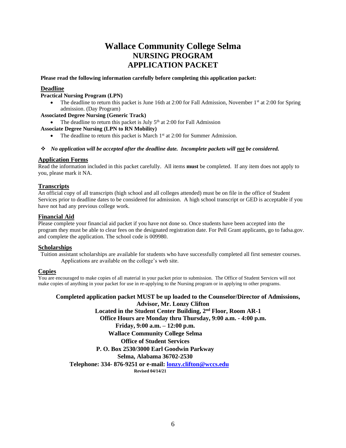# **Wallace Community College Selma NURSING PROGRAM APPLICATION PACKET**

**Please read the following information carefully before completing this application packet:**

### **Deadline**

### **Practical Nursing Program (LPN)**

The deadline to return this packet is June 16th at 2:00 for Fall Admission, November 1<sup>st</sup> at 2:00 for Spring admission. (Day Program)

### **Associated Degree Nursing (Generic Track)**

• The deadline to return this packet is July  $5<sup>th</sup>$  at 2:00 for Fall Admission

#### **Associate Degree Nursing (LPN to RN Mobility)**

• The deadline to return this packet is March 1<sup>st</sup> at 2:00 for Summer Admission.

#### ❖ *No application will be accepted after the deadline date. Incomplete packets will not be considered.*

### **Application Forms**

Read the information included in this packet carefully. All items **must** be completed. If any item does not apply to you, please mark it NA.

### **Transcripts**

An official copy of all transcripts (high school and all colleges attended) must be on file in the office of Student Services prior to deadline dates to be considered for admission. A high school transcript or GED is acceptable if you have not had any previous college work.

#### **Financial Aid**

Please complete your financial aid packet if you have not done so. Once students have been accepted into the program they must be able to clear fees on the designated registration date. For Pell Grant applicants, go to fadsa.gov. and complete the application. The school code is 009980.

### **Scholarships**

Tuition assistant scholarships are available for students who have successfully completed all first semester courses. Applications are available on the college's web site.

### **Copies**

You are encouraged to make copies of all material in your packet prior to submission. The Office of Student Services will not make copies of anything in your packet for use in re-applying to the Nursing program or in applying to other programs.

**Completed application packet MUST be up loaded to the Counselor/Director of Admissions, Advisor, Mr. Lonzy Clifton Located in the Student Center Building, 2nd Floor, Room AR-1 Office Hours are Monday thru Thursday, 9:00 a.m. - 4:00 p.m. Friday, 9:00 a.m. – 12:00 p.m. Wallace Community College Selma Office of Student Services P. O. Box 2530/3000 Earl Goodwin Parkway Selma, Alabama 36702-2530 Telephone: 334- 876-9251 or e-mail: lonzy.clifton@wccs.edu Revised 04/14/21**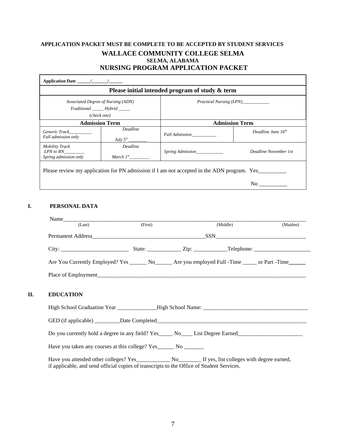## **APPLICATION PACKET MUST BE COMPLETE TO BE ACCEPTED BY STUDENT SERVICES WALLACE COMMUNITY COLLEGE SELMA SELMA, ALABAMA NURSING PROGRAM APPLICATION PACKET**

| Please initial intended program of study & term                                            |                                   |                                |                       |  |  |  |  |
|--------------------------------------------------------------------------------------------|-----------------------------------|--------------------------------|-----------------------|--|--|--|--|
| Associated Degree of Nursing (ADN)<br>Traditional Hybrid<br>(check one)                    |                                   | <i>Practical Nursing (LPN)</i> |                       |  |  |  |  |
|                                                                                            |                                   |                                |                       |  |  |  |  |
|                                                                                            | <b>Admission Term</b>             |                                | <b>Admission Term</b> |  |  |  |  |
| Generic Track<br>Fall admission only                                                       | Deadline                          | Fall Admission                 | Deadline June $16th$  |  |  |  |  |
| <b>Mobility Track</b><br>LPN to RN<br>Spring admission only                                | <b>Deadline</b><br>March $I^{st}$ | <i>Spring Admission</i>        | Deadline November 1st |  |  |  |  |
| Please review my application for PN admission if I am not accepted in the ADN program. Yes |                                   |                                |                       |  |  |  |  |
|                                                                                            |                                   |                                | $\rm No$              |  |  |  |  |

## **I. PERSONAL DATA**

**II.** 

| Name<br>(Last)                                                                                                                                                                                                                 | (First) |  | (Middle) | (Maiden) |  |  |  |
|--------------------------------------------------------------------------------------------------------------------------------------------------------------------------------------------------------------------------------|---------|--|----------|----------|--|--|--|
|                                                                                                                                                                                                                                |         |  |          |          |  |  |  |
|                                                                                                                                                                                                                                |         |  |          |          |  |  |  |
| Are You Currently Employed? Yes ________ No________ Are you employed Full -Time _______ or Part -Time                                                                                                                          |         |  |          |          |  |  |  |
| Place of Employment                                                                                                                                                                                                            |         |  |          |          |  |  |  |
|                                                                                                                                                                                                                                |         |  |          |          |  |  |  |
| <b>EDUCATION</b>                                                                                                                                                                                                               |         |  |          |          |  |  |  |
|                                                                                                                                                                                                                                |         |  |          |          |  |  |  |
| GED (if applicable) Date Completed Deterministic property of the Completed Deterministic property of the Completed Deterministic property of the Completed Deterministic property of the Completed Deterministic property of t |         |  |          |          |  |  |  |
|                                                                                                                                                                                                                                |         |  |          |          |  |  |  |
| Do you currently hold a degree in any field? Yes_____ No____ List Degree Earned_____________________                                                                                                                           |         |  |          |          |  |  |  |
|                                                                                                                                                                                                                                |         |  |          |          |  |  |  |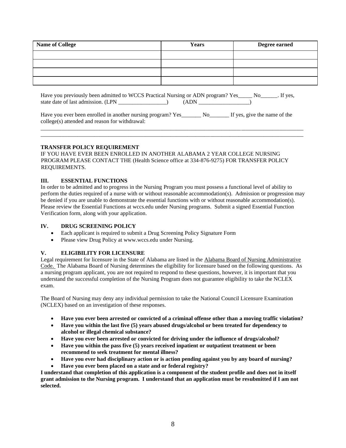| <b>Name of College</b> | <b>Years</b> | Degree earned |
|------------------------|--------------|---------------|
|                        |              |               |
|                        |              |               |
|                        |              |               |
|                        |              |               |

Have you previously been admitted to WCCS Practical Nursing or ADN program? Yes\_\_\_\_\_\_ No\_\_\_\_\_\_. If yes, state date of last admission. (LPN \_\_\_\_\_\_\_\_\_\_\_\_\_\_\_\_\_) (ADN \_\_\_\_\_\_\_\_\_\_\_\_\_\_\_\_\_\_)

| Have you ever been enrolled in another nursing program? Yes_ | No<br>If yes, give the name of the |
|--------------------------------------------------------------|------------------------------------|
| college(s) attended and reason for withdrawal:               |                                    |

\_\_\_\_\_\_\_\_\_\_\_\_\_\_\_\_\_\_\_\_\_\_\_\_\_\_\_\_\_\_\_\_\_\_\_\_\_\_\_\_\_\_\_\_\_\_\_\_\_\_\_\_\_\_\_\_\_\_\_\_\_\_\_\_\_\_\_\_\_\_\_\_\_\_\_\_\_\_\_\_\_\_\_\_\_\_\_\_\_\_\_\_\_ \_\_\_\_\_\_\_\_\_\_\_\_\_\_\_\_\_\_\_\_\_\_\_\_\_\_\_\_\_\_\_\_\_\_\_\_\_\_\_\_\_\_\_\_\_\_\_\_\_\_\_\_\_\_\_\_\_\_\_\_\_\_\_\_\_\_\_\_\_\_\_\_\_\_\_\_\_\_\_\_\_\_\_\_\_\_\_\_\_\_\_\_\_

### **TRANSFER POLICY REQUIREMENT**

IF YOU HAVE EVER BEEN ENROLLED IN ANOTHER ALABAMA 2 YEAR COLLEGE NURSING PROGRAM PLEASE CONTACT THE (Health Science office at 334-876-9275) FOR TRANSFER POLICY REQUIREMENTS.

### **III. ESSENTIAL FUNCTIONS**

In order to be admitted and to progress in the Nursing Program you must possess a functional level of ability to perform the duties required of a nurse with or without reasonable accommodation(s). Admission or progression may be denied if you are unable to demonstrate the essential functions with or without reasonable accommodation(s). Please review the Essential Functions at wccs.edu under Nursing programs. Submit a signed Essential Function Verification form, along with your application.

### **IV. DRUG SCREENING POLICY**

- Each applicant is required to submit a Drug Screening Policy Signature Form
- Please view Drug Policy at www.wccs.edu under Nursing.

### **V. ELIGIBILITY FOR LICENSURE**

Legal requirement for licensure in the State of Alabama are listed in the Alabama Board of Nursing Administrative Code. The Alabama Board of Nursing determines the eligibility for licensure based on the following questions. As a nursing program applicant, you are not required to respond to these questions, however, it is important that you understand the successful completion of the Nursing Program does not guarantee eligibility to take the NCLEX exam.

The Board of Nursing may deny any individual permission to take the National Council Licensure Examination (NCLEX) based on an investigation of these responses.

- **Have you ever been arrested or convicted of a criminal offense other than a moving traffic violation?**
- **Have you within the last five (5) years abused drugs/alcohol or been treated for dependency to alcohol or illegal chemical substance?**
- **Have you ever been arrested or convicted for driving under the influence of drugs/alcohol?**
- **Have you within the pass five (5) years received inpatient or outpatient treatment or been recommend to seek treatment for mental illness?**
- **Have you ever had disciplinary action or is action pending against you by any board of nursing?**
- **Have you ever been placed on a state and or federal registry?**

**I understand that completion of this application is a component of the student profile and does not in itself grant admission to the Nursing program. I understand that an application must be resubmitted if I am not selected.**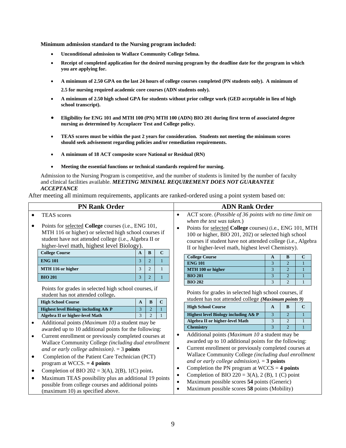**Minimum admission standard to the Nursing program included:**

- **Unconditional admission to Wallace Community College Selma.**
- **Receipt of completed application for the desired nursing program by the deadline date for the program in which you are applying for.**
- **A minimum of 2.50 GPA on the last 24 hours of college courses completed (PN students only). A minimum of**

**2.5 for nursing required academic core courses (ADN students only).**

- **A minimum of 2.50 high school GPA for students without prior college work (GED acceptable in lieu of high school transcript).**
- **Eligibility for ENG 101 and MTH 100 (PN) MTH 100 (ADN) BIO 201 during first term of associated degree nursing as determined by Accuplacer Test and College policy.**
- **TEAS scores must be within the past 2 years for consideration. Students not meeting the minimum scores should seek advisement regarding policies and/or remediation requirements.**
- **A minimum of 18 ACT composite score National or Residual (RN)**
- **Meeting the essential functions or technical standards required for nursing.**

Admission to the Nursing Program is competitive, and the number of students is limited by the number of faculty and clinical facilities available. *MEETING MINIMAL REQUIREMENT DOES NOT GUARANTEE ACCEPTANCE*

After meeting all minimum requirements, applicants are ranked-ordered using a point system based on:

| <b>PN Rank Order</b> |                                                                                                                                                                                                                      |                |                |              | <b>ADN Rank Order</b>                                                                                                                                                                                                                                              |                                                                                                              |              |                                  |             |
|----------------------|----------------------------------------------------------------------------------------------------------------------------------------------------------------------------------------------------------------------|----------------|----------------|--------------|--------------------------------------------------------------------------------------------------------------------------------------------------------------------------------------------------------------------------------------------------------------------|--------------------------------------------------------------------------------------------------------------|--------------|----------------------------------|-------------|
|                      | <b>TEAS</b> scores                                                                                                                                                                                                   |                |                | $\bullet$    | ACT score. (Possible of 36 points with no time limit on                                                                                                                                                                                                            |                                                                                                              |              |                                  |             |
|                      | Points for selected College courses (i.e., ENG 101,<br>MTH 116 or higher) or selected high school courses if<br>student have not attended college (i.e., Algebra II or<br>higher-level math, highest level Biology). |                |                | $\bullet$    | when the test was taken.)<br>Points for selected College courses) (i.e., ENG 101, MTH<br>100 or higher, BIO 201, 202) or selected high school<br>courses if student have not attended college (i.e., Algebra<br>II or higher-level math, highest level Chemistry). |                                                                                                              |              |                                  |             |
|                      | <b>College Course</b>                                                                                                                                                                                                | $\mathbf{A}$   | $\bf{B}$       | $\mathbf C$  |                                                                                                                                                                                                                                                                    | <b>College Course</b>                                                                                        | A            | B                                | $\mathbf C$ |
|                      | <b>ENG 101</b>                                                                                                                                                                                                       | $\overline{3}$ | $\overline{2}$ |              |                                                                                                                                                                                                                                                                    | <b>ENG 101</b>                                                                                               | 3            | $\overline{2}$                   |             |
|                      | MTH 116 or higher                                                                                                                                                                                                    | $\overline{3}$ | $\overline{c}$ |              |                                                                                                                                                                                                                                                                    | MTH 100 or higher                                                                                            | 3            | $\overline{2}$                   |             |
|                      | <b>BIO 201</b>                                                                                                                                                                                                       | $\overline{3}$ | $\overline{2}$ |              |                                                                                                                                                                                                                                                                    | <b>BIO 201</b>                                                                                               | 3            | $\overline{2}$                   |             |
|                      |                                                                                                                                                                                                                      |                |                |              |                                                                                                                                                                                                                                                                    | <b>BIO 202</b>                                                                                               | 3            | $\overline{2}$                   | 1           |
|                      | Points for grades in selected high school courses, if                                                                                                                                                                |                |                |              |                                                                                                                                                                                                                                                                    | Points for grades in selected high school courses, if<br>student has not attended college (Maximum points 9) |              |                                  |             |
|                      | student has not attended college.                                                                                                                                                                                    |                |                |              |                                                                                                                                                                                                                                                                    |                                                                                                              |              |                                  |             |
|                      | <b>High School Course</b>                                                                                                                                                                                            | $\mathbf{A}$   | $\bf{B}$       | $\mathbf{C}$ |                                                                                                                                                                                                                                                                    | <b>High School Course</b>                                                                                    | $\mathbf{A}$ | $\bf{B}$                         | $\mathbf C$ |
|                      | Highest level Biology including A& P                                                                                                                                                                                 | 3              | $\overline{2}$ |              |                                                                                                                                                                                                                                                                    |                                                                                                              |              |                                  |             |
|                      | Algebra II or higher-level Math                                                                                                                                                                                      | 3              | $\overline{2}$ | $\mathbf{1}$ |                                                                                                                                                                                                                                                                    | Highest level Biology including A& P                                                                         | 3            | $\overline{2}$                   |             |
|                      | Additional points (Maximum 10) a student may be                                                                                                                                                                      |                |                |              |                                                                                                                                                                                                                                                                    | Algebra II or higher-level Math                                                                              | 3<br>3       | $\overline{2}$<br>$\overline{2}$ |             |
|                      | awarded up to 10 additional points for the following:                                                                                                                                                                |                |                |              |                                                                                                                                                                                                                                                                    | <b>Chemistry</b>                                                                                             |              |                                  |             |
| $\bullet$            | Current enrollment or previously completed courses at                                                                                                                                                                |                |                |              | $\bullet$                                                                                                                                                                                                                                                          | Additional points (Maximum 10 a student may be                                                               |              |                                  |             |
|                      | Wallace Community College (including dual enrollment                                                                                                                                                                 |                |                |              |                                                                                                                                                                                                                                                                    | awarded up to 10 additional points for the following:                                                        |              |                                  |             |
|                      | and or early college admission). $=$ 3 points                                                                                                                                                                        |                |                |              | $\bullet$                                                                                                                                                                                                                                                          | Current enrollment or previously completed courses at                                                        |              |                                  |             |
|                      | Completion of the Patient Care Technician (PCT)                                                                                                                                                                      |                |                |              |                                                                                                                                                                                                                                                                    | Wallace Community College (including dual enrollment                                                         |              |                                  |             |
|                      | program at WCCS. $=$ 4 points                                                                                                                                                                                        |                |                |              | $\bullet$                                                                                                                                                                                                                                                          | and or early college admission). $=$ 3 points                                                                |              |                                  |             |
|                      | Completion of BIO 202 = 3(A), 2(B), 1(C) point.                                                                                                                                                                      |                |                |              | $\bullet$                                                                                                                                                                                                                                                          | Completion the PN program at $WCCS = 4$ points                                                               |              |                                  |             |
| ٠                    | Maximum TEAS possibility plus an additional 19 points                                                                                                                                                                |                |                |              |                                                                                                                                                                                                                                                                    | Completion of BIO 220 = 3(A), 2 (B), 1 (C) point                                                             |              |                                  |             |
|                      | possible from college courses and additional points                                                                                                                                                                  |                |                |              | $\bullet$                                                                                                                                                                                                                                                          | Maximum possible scores 54 points (Generic)                                                                  |              |                                  |             |
|                      | (maximum 10) as specified above.                                                                                                                                                                                     |                |                |              |                                                                                                                                                                                                                                                                    | Maximum possible scores 58 points (Mobility)                                                                 |              |                                  |             |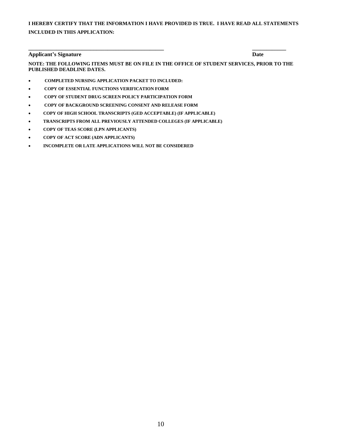## **I HEREBY CERTIFY THAT THE INFORMATION I HAVE PROVIDED IS TRUE. I HAVE READ ALL STATEMENTS INCLUDED IN THIS APPLICATION:**

### **Applicant's Signature Date**

**NOTE: THE FOLLOWING ITEMS MUST BE ON FILE IN THE OFFICE OF STUDENT SERVICES, PRIOR TO THE PUBLISHED DEADLINE DATES.**

**\_\_\_\_\_\_\_\_\_\_\_\_\_\_\_\_\_\_\_\_\_\_\_\_\_\_\_\_\_\_\_\_\_\_\_\_\_\_\_\_\_\_\_\_\_\_\_\_ \_\_\_\_\_\_\_\_\_\_\_\_**

- • **COMPLETED NURSING APPLICATION PACKET TO INCLUDED:**
- • **COPY OF ESSENTIAL FUNCTIONS VERIFICATION FORM**
- • **COPY OF STUDENT DRUG SCREEN POLICY PARTICIPATION FORM**
- • **COPY OF BACKGROUND SCREENING CONSENT AND RELEASE FORM**
- • **COPY OF HIGH SCHOOL TRANSCRIPTS (GED ACCEPTABLE) (IF APPLICABLE)**
- • **TRANSCRIPTS FROM ALL PREVIOUSLY ATTENDED COLLEGES (IF APPLICABLE)**
- • **COPY OF TEAS SCORE (LPN APPLICANTS)**
- • **COPY OF ACT SCORE (ADN APPLICANTS)**
- • **INCOMPLETE OR LATE APPLICATIONS WILL NOT BE CONSIDERED**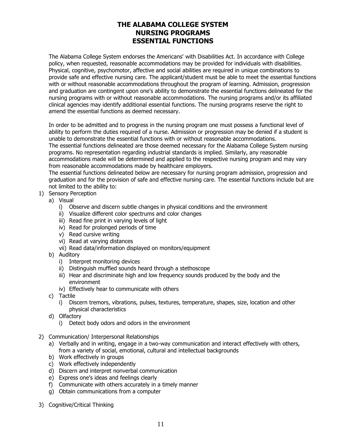# **THE ALABAMA COLLEGE SYSTEM NURSING PROGRAMS ESSENTIAL FUNCTIONS**

The Alabama College System endorses the Americans' with Disabilities Act. In accordance with College policy, when requested, reasonable accommodations may be provided for individuals with disabilities. Physical, cognitive, psychomotor, affective and social abilities are required in unique combinations to provide safe and effective nursing care. The applicant/student must be able to meet the essential functions with or without reasonable accommodations throughout the program of learning. Admission, progression and graduation are contingent upon one's ability to demonstrate the essential functions delineated for the nursing programs with or without reasonable accommodations. The nursing programs and/or its affiliated clinical agencies may identify additional essential functions. The nursing programs reserve the right to amend the essential functions as deemed necessary.

In order to be admitted and to progress in the nursing program one must possess a functional level of ability to perform the duties required of a nurse. Admission or progression may be denied if a student is unable to demonstrate the essential functions with or without reasonable accommodations. The essential functions delineated are those deemed necessary for the Alabama College System nursing programs. No representation regarding industrial standards is implied. Similarly, any reasonable accommodations made will be determined and applied to the respective nursing program and may vary from reasonable accommodations made by healthcare employers.

The essential functions delineated below are necessary for nursing program admission, progression and graduation and for the provision of safe and effective nursing care. The essential functions include but are not limited to the ability to:

- 1) Sensory Perception
	- a) Visual
		- i) Observe and discern subtle changes in physical conditions and the environment
		- ii) Visualize different color spectrums and color changes
		- iii) Read fine print in varying levels of light
		- iv) Read for prolonged periods of time
		- v) Read cursive writing
		- vi) Read at varying distances
		- vii) Read data/information displayed on monitors/equipment
	- b) Auditory
		- i) Interpret monitoring devices
		- ii) Distinguish muffled sounds heard through a stethoscope
		- iii) Hear and discriminate high and low frequency sounds produced by the body and the environment
		- iv) Effectively hear to communicate with others
	- c) Tactile
		- i) Discern tremors, vibrations, pulses, textures, temperature, shapes, size, location and other physical characteristics
	- d) Olfactory
		- i) Detect body odors and odors in the environment
- 2) Communication/ Interpersonal Relationships
	- a) Verbally and in writing, engage in a two-way communication and interact effectively with others, from a variety of social, emotional, cultural and intellectual backgrounds
	- b) Work effectively in groups
	- c) Work effectively independently
	- d) Discern and interpret nonverbal communication
	- e) Express one's ideas and feelings clearly
	- f) Communicate with others accurately in a timely manner
	- g) Obtain communications from a computer
- 3) Cognitive/Critical Thinking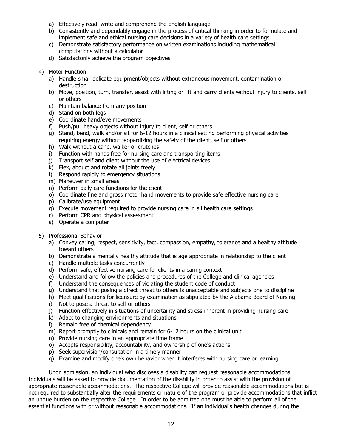- a) Effectively read, write and comprehend the English language
- b) Consistently and dependably engage in the process of critical thinking in order to formulate and implement safe and ethical nursing care decisions in a variety of health care settings
- c) Demonstrate satisfactory performance on written examinations including mathematical computations without a calculator
- d) Satisfactorily achieve the program objectives
- 4) Motor Function
	- a) Handle small delicate equipment/objects without extraneous movement, contamination or destruction
	- b) Move, position, turn, transfer, assist with lifting or lift and carry clients without injury to clients, self or others
	- c) Maintain balance from any position
	- d) Stand on both legs
	- e) Coordinate hand/eye movements
	- f) Push/pull heavy objects without injury to client, self or others
	- g) Stand, bend, walk and/or sit for 6-12 hours in a clinical setting performing physical activities requiring energy without jeopardizing the safety of the client, self or others
	- h) Walk without a cane, walker or crutches
	- i) Function with hands free for nursing care and transporting items
	- j) Transport self and client without the use of electrical devices
	- k) Flex, abduct and rotate all joints freely
	- l) Respond rapidly to emergency situations
	- m) Maneuver in small areas
	- n) Perform daily care functions for the client
	- o) Coordinate fine and gross motor hand movements to provide safe effective nursing care
	- p) Calibrate/use equipment
	- q) Execute movement required to provide nursing care in all health care settings
	- r) Perform CPR and physical assessment
	- s) Operate a computer
- 5) Professional Behavior
	- a) Convey caring, respect, sensitivity, tact, compassion, empathy, tolerance and a healthy attitude toward others
	- b) Demonstrate a mentally healthy attitude that is age appropriate in relationship to the client
	- c) Handle multiple tasks concurrently
	- d) Perform safe, effective nursing care for clients in a caring context
	- e) Understand and follow the policies and procedures of the College and clinical agencies
	- f) Understand the consequences of violating the student code of conduct
	- g) Understand that posing a direct threat to others is unacceptable and subjects one to discipline
	- h) Meet qualifications for licensure by examination as stipulated by the Alabama Board of Nursing
	- i) Not to pose a threat to self or others
	- j) Function effectively in situations of uncertainty and stress inherent in providing nursing care
	- k) Adapt to changing environments and situations
	- l) Remain free of chemical dependency
	- m) Report promptly to clinicals and remain for 6-12 hours on the clinical unit
	- n) Provide nursing care in an appropriate time frame
	- o) Accepts responsibility, accountability, and ownership of one's actions
	- p) Seek supervision/consultation in a timely manner
	- q) Examine and modify one's own behavior when it interferes with nursing care or learning

Upon admission, an individual who discloses a disability can request reasonable accommodations. Individuals will be asked to provide documentation of the disability in order to assist with the provision of appropriate reasonable accommodations. The respective College will provide reasonable accommodations but is not required to substantially alter the requirements or nature of the program or provide accommodations that inflict an undue burden on the respective College. In order to be admitted one must be able to perform all of the essential functions with or without reasonable accommodations. If an individual's health changes during the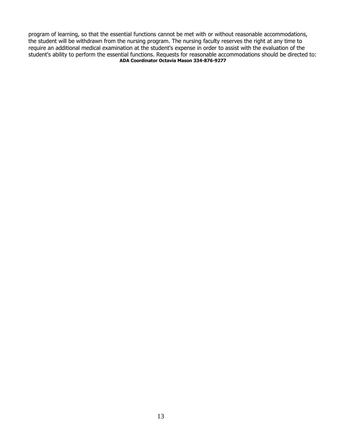program of learning, so that the essential functions cannot be met with or without reasonable accommodations, the student will be withdrawn from the nursing program. The nursing faculty reserves the right at any time to require an additional medical examination at the student's expense in order to assist with the evaluation of the student's ability to perform the essential functions. Requests for reasonable accommodations should be directed to: **ADA Coordinator Octavia Mason 334-876-9277**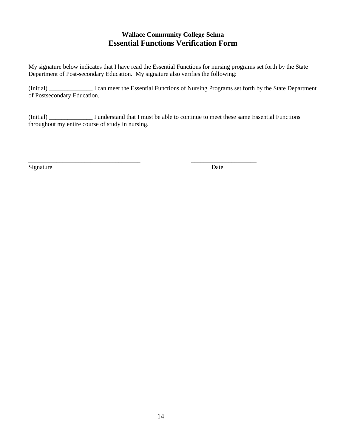# **Wallace Community College Selma Essential Functions Verification Form**

My signature below indicates that I have read the Essential Functions for nursing programs set forth by the State Department of Post-secondary Education. My signature also verifies the following:

(Initial) \_\_\_\_\_\_\_\_\_\_\_\_\_\_ I can meet the Essential Functions of Nursing Programs set forth by the State Department of Postsecondary Education.

(Initial) \_\_\_\_\_\_\_\_\_\_\_\_\_\_ I understand that I must be able to continue to meet these same Essential Functions throughout my entire course of study in nursing.

\_\_\_\_\_\_\_\_\_\_\_\_\_\_\_\_\_\_\_\_\_\_\_\_\_\_\_\_\_\_\_\_\_\_\_\_ \_\_\_\_\_\_\_\_\_\_\_\_\_\_\_\_\_\_\_\_\_

Signature Date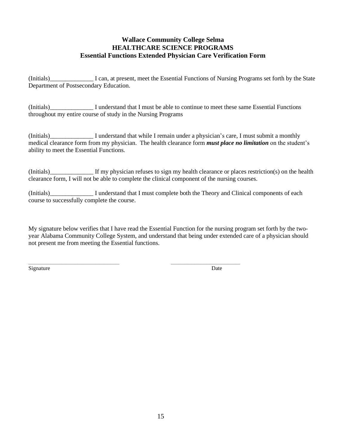## **Wallace Community College Selma HEALTHCARE SCIENCE PROGRAMS Essential Functions Extended Physician Care Verification Form**

(Initials)\_\_\_\_\_\_\_\_\_\_\_\_\_\_ I can, at present, meet the Essential Functions of Nursing Programs set forth by the State Department of Postsecondary Education.

(Initials)\_\_\_\_\_\_\_\_\_\_\_\_\_\_ I understand that I must be able to continue to meet these same Essential Functions throughout my entire course of study in the Nursing Programs

(Initials) I understand that while I remain under a physician's care, I must submit a monthly medical clearance form from my physician. The health clearance form *must place no limitation* on the student's ability to meet the Essential Functions.

(Initials)\_\_\_\_\_\_\_\_\_\_\_\_\_\_ If my physician refuses to sign my health clearance or places restriction(s) on the health clearance form, I will not be able to complete the clinical component of the nursing courses.

(Initials)\_\_\_\_\_\_\_\_\_\_\_\_\_\_ I understand that I must complete both the Theory and Clinical components of each course to successfully complete the course.

My signature below verifies that I have read the Essential Function for the nursing program set forth by the twoyear Alabama Community College System, and understand that being under extended care of a physician should not present me from meeting the Essential functions.

\_\_\_\_\_\_\_\_\_\_\_\_\_\_\_\_\_\_\_\_\_\_\_\_\_\_\_\_\_\_\_\_\_\_\_\_\_\_\_\_\_\_\_\_\_\_ \_\_\_\_\_\_\_\_\_\_\_\_\_\_\_\_\_\_\_\_\_\_\_\_\_\_\_\_\_\_\_\_\_\_\_

Signature Date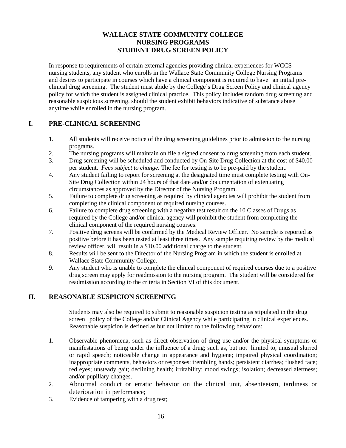# **WALLACE STATE COMMUNITY COLLEGE NURSING PROGRAMS STUDENT DRUG SCREEN POLICY**

In response to requirements of certain external agencies providing clinical experiences for WCCS nursing students, any student who enrolls in the Wallace State Community College Nursing Programs and desires to participate in courses which have a clinical component is required to have an initial preclinical drug screening. The student must abide by the College's Drug Screen Policy and clinical agency policy for which the student is assigned clinical practice. This policy includes random drug screening and reasonable suspicious screening, should the student exhibit behaviors indicative of substance abuse anytime while enrolled in the nursing program.

# **I. PRE-CLINICAL SCREENING**

- 1. All students will receive notice of the drug screening guidelines prior to admission to the nursing programs.
- 2. The nursing programs will maintain on file a signed consent to drug screening from each student.
- 3. Drug screening will be scheduled and conducted by On-Site Drug Collection at the cost of \$40.00 per student. *Fees subject to change.* The fee for testing is to be pre-paid by the student.
- 4. Any student failing to report for screening at the designated time must complete testing with On-Site Drug Collection within 24 hours of that date and/or documentation of extenuating circumstances as approved by the Director of the Nursing Program.
- 5. Failure to complete drug screening as required by clinical agencies will prohibit the student from completing the clinical component of required nursing courses.
- 6. Failure to complete drug screening with a negative test result on the 10 Classes of Drugs as required by the College and/or clinical agency will prohibit the student from completing the clinical component of the required nursing courses.
- 7. Positive drug screens will be confirmed by the Medical Review Officer. No sample is reported as positive before it has been tested at least three times. Any sample requiring review by the medical review officer, will result in a \$10.00 additional charge to the student.
- 8. Results will be sent to the Director of the Nursing Program in which the student is enrolled at Wallace State Community College.
- 9. Any student who is unable to complete the clinical component of required courses due to a positive drug screen may apply for readmission to the nursing program. The student will be considered for readmission according to the criteria in Section VI of this document.

# **II. REASONABLE SUSPICION SCREENING**

Students may also be required to submit to reasonable suspicion testing as stipulated in the drug screen policy of the College and/or Clinical Agency while participating in clinical experiences. Reasonable suspicion is defined as but not limited to the following behaviors:

- 1. Observable phenomena, such as direct observation of drug use and/or the physical symptoms or manifestations of being under the influence of a drug; such as, but not limited to, unusual slurred or rapid speech; noticeable change in appearance and hygiene; impaired physical coordination; inappropriate comments, behaviors or responses; trembling hands; persistent diarrhea; flushed face; red eyes; unsteady gait; declining health; irritability; mood swings; isolation; decreased alertness; and/or pupillary changes.
- 2. Abnormal conduct or erratic behavior on the clinical unit, absenteeism, tardiness or deterioration in performance;
- 3. Evidence of tampering with a drug test;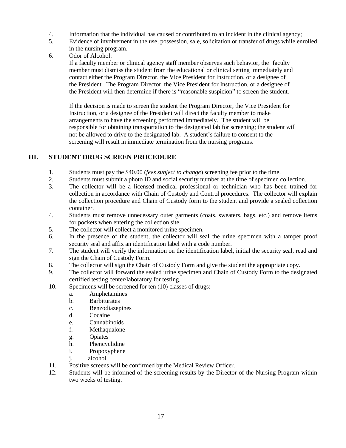- 4. Information that the individual has caused or contributed to an incident in the clinical agency;
- 5. Evidence of involvement in the use, possession, sale, solicitation or transfer of drugs while enrolled in the nursing program.
- 6. Odor of Alcohol:

If a faculty member or clinical agency staff member observes such behavior, the faculty member must dismiss the student from the educational or clinical setting immediately and contact either the Program Director, the Vice President for Instruction, or a designee of the President. The Program Director, the Vice President for Instruction, or a designee of the President will then determine if there is "reasonable suspicion" to screen the student.

If the decision is made to screen the student the Program Director, the Vice President for Instruction, or a designee of the President will direct the faculty member to make arrangements to have the screening performed immediately. The student will be responsible for obtaining transportation to the designated lab for screening; the student will not be allowed to drive to the designated lab. A student's failure to consent to the screening will result in immediate termination from the nursing programs.

# **III. STUDENT DRUG SCREEN PROCEDURE**

- 1. Students must pay the \$40.00 (*fees subject to change*) screening fee prior to the time.
- 2. Students must submit a photo ID and social security number at the time of specimen collection.
- 3. The collector will be a licensed medical professional or technician who has been trained for collection in accordance with Chain of Custody and Control procedures. The collector will explain the collection procedure and Chain of Custody form to the student and provide a sealed collection container.
- 4. Students must remove unnecessary outer garments (coats, sweaters, bags, etc.) and remove items for pockets when entering the collection site.
- 5. The collector will collect a monitored urine specimen.
- 6. In the presence of the student, the collector will seal the urine specimen with a tamper proof security seal and affix an identification label with a code number.
- 7. The student will verify the information on the identification label, initial the security seal, read and sign the Chain of Custody Form.
- 8. The collector will sign the Chain of Custody Form and give the student the appropriate copy.
- 9. The collector will forward the sealed urine specimen and Chain of Custody Form to the designated certified testing center/laboratory for testing.
- 10. Specimens will be screened for ten (10) classes of drugs:
	- a. Amphetamines
	- b. Barbiturates
	- c. Benzodiazepines
	- d. Cocaine
	- e. Cannabinoids
	- f. Methaqualone
	- g. Opiates
	- h. Phencyclidine
	- i. Propoxyphene
	- j. alcohol
- 11. Positive screens will be confirmed by the Medical Review Officer.
- 12. Students will be informed of the screening results by the Director of the Nursing Program within two weeks of testing.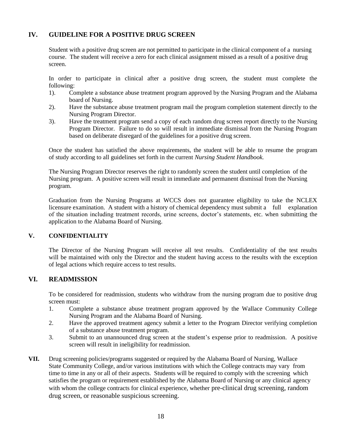# **IV. GUIDELINE FOR A POSITIVE DRUG SCREEN**

Student with a positive drug screen are not permitted to participate in the clinical component of a nursing course. The student will receive a zero for each clinical assignment missed as a result of a positive drug screen.

In order to participate in clinical after a positive drug screen, the student must complete the following:

- 1). Complete a substance abuse treatment program approved by the Nursing Program and the Alabama board of Nursing.
- 2). Have the substance abuse treatment program mail the program completion statement directly to the Nursing Program Director.
- 3). Have the treatment program send a copy of each random drug screen report directly to the Nursing Program Director. Failure to do so will result in immediate dismissal from the Nursing Program based on deliberate disregard of the guidelines for a positive drug screen.

Once the student has satisfied the above requirements, the student will be able to resume the program of study according to all guidelines set forth in the current *Nursing Student Handbook.*

The Nursing Program Director reserves the right to randomly screen the student until completion of the Nursing program. A positive screen will result in immediate and permanent dismissal from the Nursing program.

Graduation from the Nursing Programs at WCCS does not guarantee eligibility to take the NCLEX licensure examination. A student with a history of chemical dependency must submit a full explanation of the situation including treatment records, urine screens, doctor's statements, etc. when submitting the application to the Alabama Board of Nursing.

### **V. CONFIDENTIALITY**

The Director of the Nursing Program will receive all test results. Confidentiality of the test results will be maintained with only the Director and the student having access to the results with the exception of legal actions which require access to test results.

# **VI. READMISSION**

To be considered for readmission, students who withdraw from the nursing program due to positive drug screen must:

- 1. Complete a substance abuse treatment program approved by the Wallace Community College Nursing Program and the Alabama Board of Nursing.
- 2. Have the approved treatment agency submit a letter to the Program Director verifying completion of a substance abuse treatment program.
- 3. Submit to an unannounced drug screen at the student's expense prior to readmission. A positive screen will result in ineligibility for readmission.
- **VII.** Drug screening policies/programs suggested or required by the Alabama Board of Nursing, Wallace State Community College, and/or various institutions with which the College contracts may vary from time to time in any or all of their aspects. Students will be required to comply with the screening which satisfies the program or requirement established by the Alabama Board of Nursing or any clinical agency with whom the college contracts for clinical experience, whether pre-clinical drug screening, random drug screen, or reasonable suspicious screening.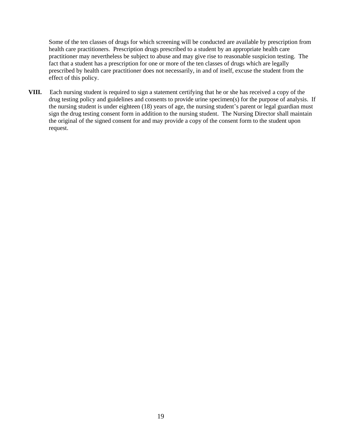Some of the ten classes of drugs for which screening will be conducted are available by prescription from health care practitioners. Prescription drugs prescribed to a student by an appropriate health care practitioner may nevertheless be subject to abuse and may give rise to reasonable suspicion testing. The fact that a student has a prescription for one or more of the ten classes of drugs which are legally prescribed by health care practitioner does not necessarily, in and of itself, excuse the student from the effect of this policy.

**VIII.** Each nursing student is required to sign a statement certifying that he or she has received a copy of the drug testing policy and guidelines and consents to provide urine specimen(s) for the purpose of analysis. If the nursing student is under eighteen (18) years of age, the nursing student's parent or legal guardian must sign the drug testing consent form in addition to the nursing student. The Nursing Director shall maintain the original of the signed consent for and may provide a copy of the consent form to the student upon request.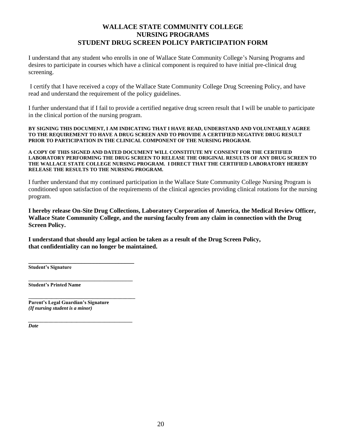## **WALLACE STATE COMMUNITY COLLEGE NURSING PROGRAMS STUDENT DRUG SCREEN POLICY PARTICIPATION FORM**

I understand that any student who enrolls in one of Wallace State Community College's Nursing Programs and desires to participate in courses which have a clinical component is required to have initial pre-clinical drug screening.

I certify that I have received a copy of the Wallace State Community College Drug Screening Policy, and have read and understand the requirement of the policy guidelines.

I further understand that if I fail to provide a certified negative drug screen result that I will be unable to participate in the clinical portion of the nursing program.

**BY SIGNING THIS DOCUMENT, I AM INDICATING THAT I HAVE READ, UNDERSTAND AND VOLUNTARILY AGREE TO THE REQUIREMENT TO HAVE A DRUG SCREEN AND TO PROVIDE A CERTIFIED NEGATIVE DRUG RESULT PRIOR TO PARTICIPATION IN THE CLINICAL COMPONENT OF THE NURSING PROGRAM.** 

**A COPY OF THIS SIGNED AND DATED DOCUMENT WILL CONSTITUTE MY CONSENT FOR THE CERTIFIED LABORATORY PERFORMING THE DRUG SCREEN TO RELEASE THE ORIGINAL RESULTS OF ANY DRUG SCREEN TO THE WALLACE STATE COLLEGE NURSING PROGRAM. I DIRECT THAT THE CERTIFIED LABORATORY HEREBY RELEASE THE RESULTS TO THE NURSING PROGRAM.** 

I further understand that my continued participation in the Wallace State Community College Nursing Program is conditioned upon satisfaction of the requirements of the clinical agencies providing clinical rotations for the nursing program.

**I hereby release On-Site Drug Collections, Laboratory Corporation of America, the Medical Review Officer, Wallace State Community College, and the nursing faculty from any claim in connection with the Drug Screen Policy.** 

**I understand that should any legal action be taken as a result of the Drug Screen Policy, that confidentiality can no longer be maintained.**

**\_\_\_\_\_\_\_\_\_\_\_\_\_\_\_\_\_\_\_\_\_\_\_\_\_\_\_\_\_\_\_\_\_\_ Student's Signature**

**\_\_\_\_\_\_\_\_\_\_\_\_\_\_\_\_\_\_\_\_\_\_\_\_\_\_\_\_\_\_\_\_\_\_\_\_\_\_\_\_\_ Student's Printed Name**

**Parent's Legal Guardian's Signature** *(If nursing student is a minor)*

**\_\_\_\_\_\_\_\_\_\_\_\_\_\_\_\_\_\_\_\_\_\_\_\_\_\_\_\_\_\_\_\_\_\_\_\_\_\_\_\_\_\_**

*\_\_\_\_\_\_\_\_\_\_\_\_\_\_\_\_\_\_\_\_\_\_\_\_\_\_\_\_\_\_\_\_\_\_\_\_\_\_\_\_\_ Date*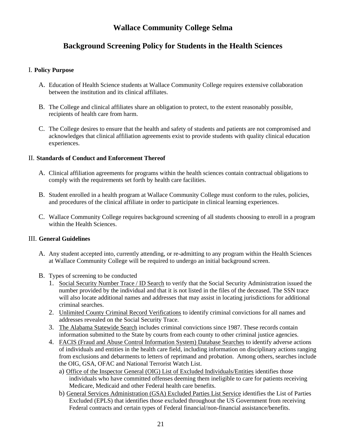# **Wallace Community College Selma**

# **Background Screening Policy for Students in the Health Sciences**

## I. **Policy Purpose**

- A. Education of Health Science students at Wallace Community College requires extensive collaboration between the institution and its clinical affiliates.
- B. The College and clinical affiliates share an obligation to protect, to the extent reasonably possible, recipients of health care from harm.
- C. The College desires to ensure that the health and safety of students and patients are not compromised and acknowledges that clinical affiliation agreements exist to provide students with quality clinical education experiences.

## II. **Standards of Conduct and Enforcement Thereof**

- A. Clinical affiliation agreements for programs within the health sciences contain contractual obligations to comply with the requirements set forth by health care facilities.
- B. Student enrolled in a health program at Wallace Community College must conform to the rules, policies, and procedures of the clinical affiliate in order to participate in clinical learning experiences.
- C. Wallace Community College requires background screening of all students choosing to enroll in a program within the Health Sciences.

## III. **General Guidelines**

- A. Any student accepted into, currently attending, or re-admitting to any program within the Health Sciences at Wallace Community College will be required to undergo an initial background screen.
- B. Types of screening to be conducted
	- 1. Social Security Number Trace / ID Search to verify that the Social Security Administration issued the number provided by the individual and that it is not listed in the files of the deceased. The SSN trace will also locate additional names and addresses that may assist in locating jurisdictions for additional criminal searches.
	- 2. Unlimited County Criminal Record Verifications to identify criminal convictions for all names and addresses revealed on the Social Security Trace.
	- 3. The Alabama Statewide Search includes criminal convictions since 1987. These records contain information submitted to the State by courts from each county to other criminal justice agencies.
	- 4. FACIS (Fraud and Abuse Control Information System) Database Searches to identify adverse actions of individuals and entities in the health care field, including information on disciplinary actions ranging from exclusions and debarments to letters of reprimand and probation. Among others, searches include the OIG, GSA, OFAC and National Terrorist Watch List.
		- a) Office of the Inspector General (OIG) List of Excluded Individuals/Entities identifies those individuals who have committed offenses deeming them ineligible to care for patients receiving Medicare, Medicaid and other Federal health care benefits.
		- b) General Services Administration (GSA) Excluded Parties List Service identifies the List of Parties Excluded (EPLS) that identifies those excluded throughout the US Government from receiving Federal contracts and certain types of Federal financial/non-financial assistance/benefits.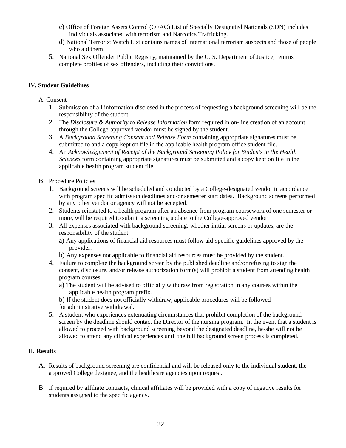- c) Office of Foreign Assets Control (OFAC) List of Specially Designated Nationals (SDN) includes individuals associated with terrorism and Narcotics Trafficking.
- d) National Terrorist Watch List contains names of international terrorism suspects and those of people who aid them.
- 5. National Sex Offender Public Registry, maintained by the U. S. Department of Justice, returns complete profiles of sex offenders, including their convictions.

## IV**. Student Guidelines**

## A. Consent

- 1. Submission of all information disclosed in the process of requesting a background screening will be the responsibility of the student.
- 2. The *Disclosure & Authority to Release Information* form required in on-line creation of an account through the College-approved vendor must be signed by the student.
- 3. A *Background Screening Consent and Release Form* containing appropriate signatures must be submitted to and a copy kept on file in the applicable health program office student file.
- 4. An *Acknowledgement of Receipt of the Background Screening Policy for Students in the Health Sciences* form containing appropriate signatures must be submitted and a copy kept on file in the applicable health program student file.
- B. Procedure Policies
	- 1. Background screens will be scheduled and conducted by a College-designated vendor in accordance with program specific admission deadlines and/or semester start dates. Background screens performed by any other vendor or agency will not be accepted.
	- 2. Students reinstated to a health program after an absence from program coursework of one semester or more, will be required to submit a screening update to the College-approved vendor.
	- 3. All expenses associated with background screening, whether initial screens or updates, are the responsibility of the student.
		- a) Any applications of financial aid resources must follow aid-specific guidelines approved by the provider.
		- b) Any expenses not applicable to financial aid resources must be provided by the student.
	- 4. Failure to complete the background screen by the published deadline and/or refusing to sign the consent, disclosure, and/or release authorization form(s) will prohibit a student from attending health program courses.
		- a) The student will be advised to officially withdraw from registration in any courses within the applicable health program prefix.
		- b) If the student does not officially withdraw, applicable procedures will be followed for administrative withdrawal.
	- 5. A student who experiences extenuating circumstances that prohibit completion of the background screen by the deadline should contact the Director of the nursing program. In the event that a student is allowed to proceed with background screening beyond the designated deadline, he/she will not be allowed to attend any clinical experiences until the full background screen process is completed.

## II. **Results**

- A. Results of background screening are confidential and will be released only to the individual student, the approved College designee, and the healthcare agencies upon request.
- B. If required by affiliate contracts, clinical affiliates will be provided with a copy of negative results for students assigned to the specific agency.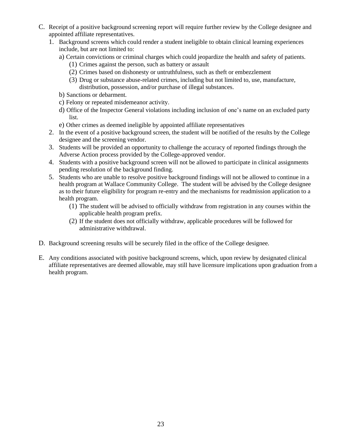- C. Receipt of a positive background screening report will require further review by the College designee and appointed affiliate representatives.
	- 1. Background screens which could render a student ineligible to obtain clinical learning experiences include, but are not limited to:
		- a) Certain convictions or criminal charges which could jeopardize the health and safety of patients.
			- (1) Crimes against the person, such as battery or assault
			- (2) Crimes based on dishonesty or untruthfulness, such as theft or embezzlement
			- (3) Drug or substance abuse-related crimes, including but not limited to, use, manufacture, distribution, possession, and/or purchase of illegal substances.
		- b) Sanctions or debarment.
		- c) Felony or repeated misdemeanor activity.
		- d) Office of the Inspector General violations including inclusion of one's name on an excluded party list.
		- e) Other crimes as deemed ineligible by appointed affiliate representatives
	- 2. In the event of a positive background screen, the student will be notified of the results by the College designee and the screening vendor.
	- 3. Students will be provided an opportunity to challenge the accuracy of reported findings through the Adverse Action process provided by the College-approved vendor.
	- 4. Students with a positive background screen will not be allowed to participate in clinical assignments pending resolution of the background finding.
	- 5. Students who are unable to resolve positive background findings will not be allowed to continue in a health program at Wallace Community College. The student will be advised by the College designee as to their future eligibility for program re-entry and the mechanisms for readmission application to a health program.
		- (1) The student will be advised to officially withdraw from registration in any courses within the applicable health program prefix.
		- (2) If the student does not officially withdraw, applicable procedures will be followed for administrative withdrawal.
- D. Background screening results will be securely filed in the office of the College designee.
- E. Any conditions associated with positive background screens, which, upon review by designated clinical affiliate representatives are deemed allowable, may still have licensure implications upon graduation from a health program.